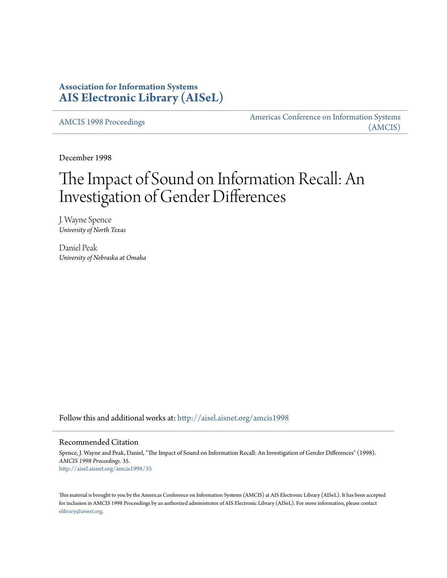## **Association for Information Systems [AIS Electronic Library \(AISeL\)](http://aisel.aisnet.org?utm_source=aisel.aisnet.org%2Famcis1998%2F35&utm_medium=PDF&utm_campaign=PDFCoverPages)**

[AMCIS 1998 Proceedings](http://aisel.aisnet.org/amcis1998?utm_source=aisel.aisnet.org%2Famcis1998%2F35&utm_medium=PDF&utm_campaign=PDFCoverPages)

[Americas Conference on Information Systems](http://aisel.aisnet.org/amcis?utm_source=aisel.aisnet.org%2Famcis1998%2F35&utm_medium=PDF&utm_campaign=PDFCoverPages) [\(AMCIS\)](http://aisel.aisnet.org/amcis?utm_source=aisel.aisnet.org%2Famcis1998%2F35&utm_medium=PDF&utm_campaign=PDFCoverPages)

December 1998

# The Impact of Sound on Information Recall: An Investigation of Gender Differences

J. Wayne Spence *University of North Texas*

Daniel Peak *University of Nebraska at Omaha*

Follow this and additional works at: [http://aisel.aisnet.org/amcis1998](http://aisel.aisnet.org/amcis1998?utm_source=aisel.aisnet.org%2Famcis1998%2F35&utm_medium=PDF&utm_campaign=PDFCoverPages)

#### Recommended Citation

Spence, J. Wayne and Peak, Daniel, "The Impact of Sound on Information Recall: An Investigation of Gender Differences" (1998). *AMCIS 1998 Proceedings*. 35. [http://aisel.aisnet.org/amcis1998/35](http://aisel.aisnet.org/amcis1998/35?utm_source=aisel.aisnet.org%2Famcis1998%2F35&utm_medium=PDF&utm_campaign=PDFCoverPages)

This material is brought to you by the Americas Conference on Information Systems (AMCIS) at AIS Electronic Library (AISeL). It has been accepted for inclusion in AMCIS 1998 Proceedings by an authorized administrator of AIS Electronic Library (AISeL). For more information, please contact [elibrary@aisnet.org.](mailto:elibrary@aisnet.org%3E)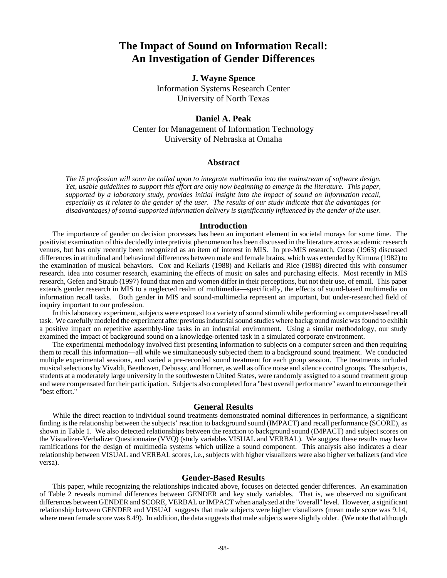# **The Impact of Sound on Information Recall: An Investigation of Gender Differences**

### **J. Wayne Spence**

Information Systems Research Center University of North Texas

## **Daniel A. Peak** Center for Management of Information Technology University of Nebraska at Omaha

#### **Abstract**

*The IS profession will soon be called upon to integrate multimedia into the mainstream of software design. Yet, usable guidelines to support this effort are only now beginning to emerge in the literature. This paper, supported by a laboratory study, provides initial insight into the impact of sound on information recall, especially as it relates to the gender of the user. The results of our study indicate that the advantages (or disadvantages) of sound-supported information delivery is significantly influenced by the gender of the user.*

#### **Introduction**

The importance of gender on decision processes has been an important element in societal morays for some time. The positivist examination of this decidedly interpretivist phenomenon has been discussed in the literature across academic research venues, but has only recently been recognized as an item of interest in MIS. In pre-MIS research, Corso (1963) discussed differences in attitudinal and behavioral differences between male and female brains, which was extended by Kimura (1982) to the examination of musical behaviors. Cox and Kellaris (1988) and Kellaris and Rice (1988) directed this with consumer research. idea into cosumer research, examining the effects of music on sales and purchasing effects. Most recently in MIS research, Gefen and Straub (1997) found that men and women differ in their perceptions, but not their use, of email. This paper extends gender research in MIS to a neglected realm of multimedia—specifically, the effects of sound-based multimedia on information recall tasks. Both gender in MIS and sound-multimedia represent an important, but under-researched field of inquiry important to our profession.

In this laboratory experiment, subjects were exposed to a variety of sound stimuli while performing a computer-based recall task. We carefully modeled the experiment after previous industrial sound studies where background music was found to exhibit a positive impact on repetitive assembly-line tasks in an industrial environment. Using a similar methodology, our study examined the impact of background sound on a knowledge-oriented task in a simulated corporate environment.

The experimental methodology involved first presenting information to subjects on a computer screen and then requiring them to recall this information—all while we simultaneously subjected them to a background sound treatment. We conducted multiple experimental sessions, and varied a pre-recorded sound treatment for each group session. The treatments included musical selections by Vivaldi, Beethoven, Debussy, and Horner, as well as office noise and silence control groups. The subjects, students at a moderately large university in the southwestern United States, were randomly assigned to a sound treatment group and were compensated for their participation. Subjects also completed for a "best overall performance" award to encourage their "best effort."

#### **General Results**

While the direct reaction to individual sound treatments demonstrated nominal differences in performance, a significant finding is the relationship between the subjects' reaction to background sound (IMPACT) and recall performance (SCORE), as shown in Table 1. We also detected relationships between the reaction to background sound (IMPACT) and subject scores on the Visualizer-Verbalizer Questionnaire (VVQ) (study variables VISUAL and VERBAL). We suggest these results may have ramifications for the design of multimedia systems which utilize a sound component. This analysis also indicates a clear relationship between VISUAL and VERBAL scores, i.e., subjects with higher visualizers were also higher verbalizers (and vice versa).

#### **Gender-Based Results**

This paper, while recognizing the relationships indicated above, focuses on detected gender differences. An examination of Table 2 reveals nominal differences between GENDER and key study variables. That is, we observed no significant differences between GENDER and SCORE, VERBAL or IMPACT when analyzed at the "overall" level. However, a significant relationship between GENDER and VISUAL suggests that male subjects were higher visualizers (mean male score was 9.14, where mean female score was 8.49). In addition, the data suggests that male subjects were slightly older. (We note that although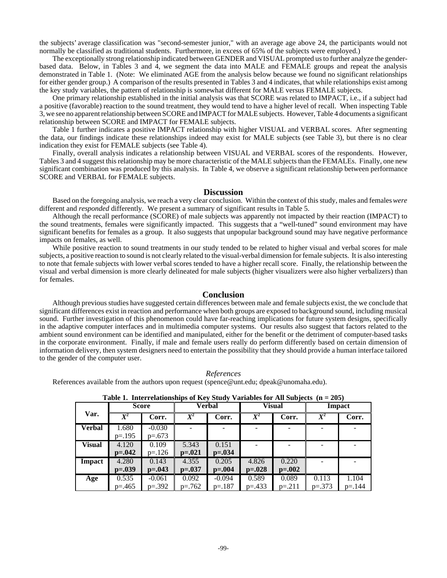the subjects' average classification was "second-semester junior," with an average age above 24, the participants would not normally be classified as traditional students. Furthermore, in excess of 65% of the subjects were employed.)

The exceptionally strong relationship indicated between GENDER and VISUAL prompted us to further analyze the genderbased data. Below, in Tables 3 and 4, we segment the data into MALE and FEMALE groups and repeat the analysis demonstrated in Table 1. (Note: We eliminated AGE from the analysis below because we found no significant relationships for either gender group.) A comparison of the results presented in Tables 3 and 4 indicates, that while relationships exist among the key study variables, the pattern of relationship is somewhat different for MALE versus FEMALE subjects.

One primary relationship established in the initial analysis was that SCORE was related to IMPACT, i.e., if a subject had a positive (favorable) reaction to the sound treatment, they would tend to have a higher level of recall. When inspecting Table 3, we see no apparent relationship between SCORE and IMPACT for MALE subjects. However, Table 4 documents a significant relationship between SCORE and IMPACT for FEMALE subjects.

Table 1 further indicates a positive IMPACT relationship with higher VISUAL and VERBAL scores. After segmenting the data, our findings indicate these relationships indeed may exist for MALE subjects (see Table 3), but there is no clear indication they exist for FEMALE subjects (see Table 4).

Finally, overall analysis indicates a relationship between VISUAL and VERBAL scores of the respondents. However, Tables 3 and 4 suggest this relationship may be more characteristic of the MALE subjects than the FEMALEs. Finally, one new significant combination was produced by this analysis. In Table 4, we observe a significant relationship between performance SCORE and VERBAL for FEMALE subjects.

#### **Discussion**

Based on the foregoing analysis, we reach a very clear conclusion. Within the context of this study, males and females *were* different and *responded* differently. We present a summary of significant results in Table 5.

Although the recall performance (SCORE) of male subjects was apparently not impacted by their reaction (IMPACT) to the sound treatments, females were significantly impacted. This suggests that a "well-tuned" sound environment may have significant benefits for females as a group. It also suggests that unpopular background sound may have negative performance impacts on females, as well.

While positive reaction to sound treatments in our study tended to be related to higher visual and verbal scores for male subjects, a positive reaction to sound is not clearly related to the visual-verbal dimension for female subjects. It is also interesting to note that female subjects with lower verbal scores tended to have a higher recall score. Finally, the relationship between the visual and verbal dimension is more clearly delineated for male subjects (higher visualizers were also higher verbalizers) than for females.

#### **Conclusion**

Although previous studies have suggested certain differences between male and female subjects exist, the we conclude that significant differences exist in reaction and performance when both groups are exposed to background sound, including musical sound. Further investigation of this phenomenon could have far-reaching implications for future system designs, specifically in the adaptive computer interfaces and in multimedia computer systems. Our results also suggest that factors related to the ambient sound environment can be identified and manipulated, either for the benefit or the detriment of computer-based tasks in the corporate environment. Finally, if male and female users really do perform differently based on certain dimension of information delivery, then system designers need to entertain the possibility that they should provide a human interface tailored to the gender of the computer user.

*References*

References available from the authors upon request (spence@unt.edu; dpeak@unomaha.edu).

|               | <b>Score</b>                                             |           |                    | Verbal      |                  | <b>Visual</b> | <b>Impact</b> |           |  |  |
|---------------|----------------------------------------------------------|-----------|--------------------|-------------|------------------|---------------|---------------|-----------|--|--|
| Var.          | $\overline{X^2}$<br>$\overline{X}{}^2$<br>Corr.<br>Corr. |           | $\overline{X}{}^2$ | Corr.       | $\overline{X^2}$ | Corr.         |               |           |  |  |
| <b>Verbal</b> | 1.680                                                    | $-0.030$  |                    |             |                  |               |               |           |  |  |
|               | $p = .195$                                               | $p=.673$  |                    |             |                  |               |               |           |  |  |
| <b>Visual</b> | 4.120                                                    | 0.109     | 5.343              | 0.151       |                  |               |               |           |  |  |
|               | $p=.042$                                                 | $p = 126$ | $p = 0.021$        | $p = 0.034$ |                  |               |               |           |  |  |
| Impact        | 4.280                                                    | 0.143     | 4.355              | 0.205       | 4.826            | 0.220         |               |           |  |  |
|               | $p=.039$                                                 | $p=.043$  | $p=.037$           | $p = .004$  | $p=.028$         | $p=.002$      |               |           |  |  |
| Age           | 0.535                                                    | $-0.061$  | 0.092              | $-0.094$    | 0.589            | 0.089         | 0.113         | 1.104     |  |  |
|               | $p = 0.465$                                              | $p=.392$  | $p=.762$           | $p=.187$    | $p=.433$         | $p = 211$     | $p=.373$      | $p = 144$ |  |  |

#### **Table 1. Interrelationships of Key Study Variables for All Subjects (n = 205)**